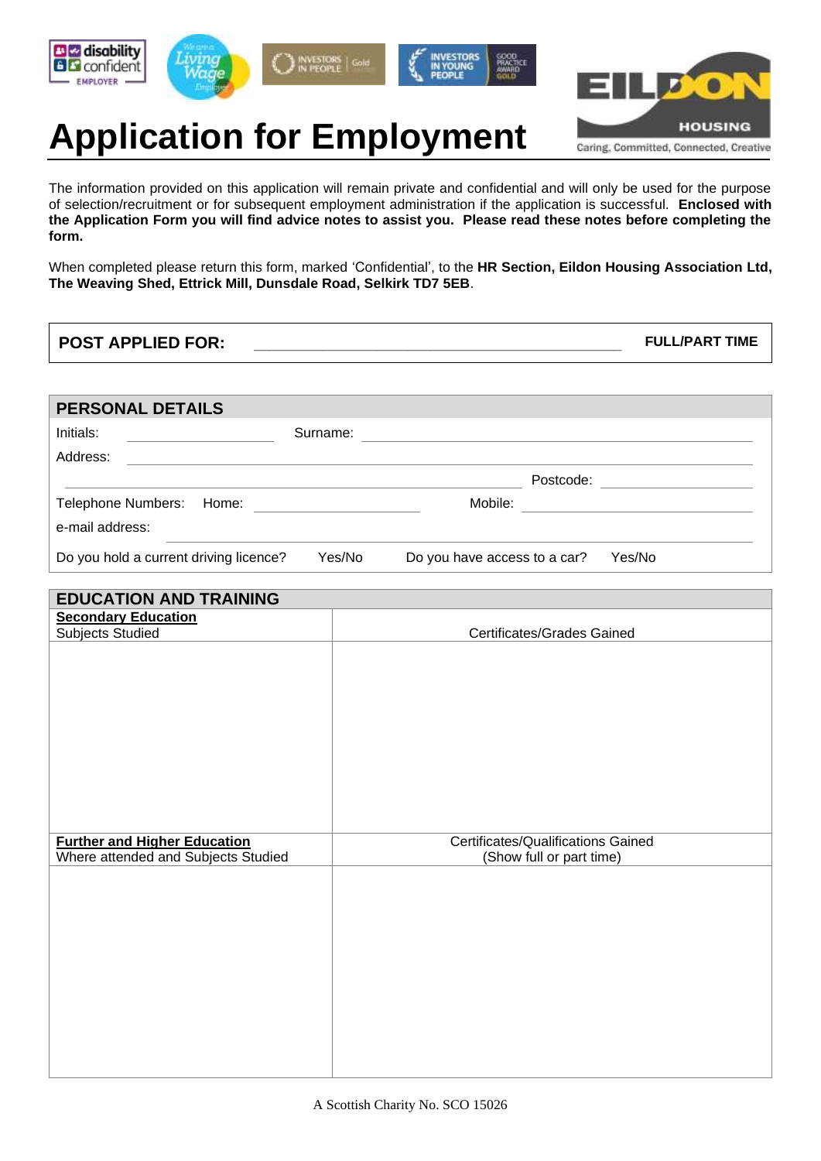









# **Application for Employment**

The information provided on this application will remain private and confidential and will only be used for the purpose of selection/recruitment or for subsequent employment administration if the application is successful. **Enclosed with the Application Form you will find advice notes to assist you. Please read these notes before completing the form.** 

When completed please return this form, marked 'Confidential', to the **HR Section, Eildon Housing Association Ltd, The Weaving Shed, Ettrick Mill, Dunsdale Road, Selkirk TD7 5EB**.

**POST APPLIED FOR: \_\_\_\_\_\_\_\_\_\_\_\_\_\_\_\_\_\_\_\_\_\_\_\_\_\_\_\_\_\_\_\_\_\_\_\_\_\_\_\_\_\_\_\_\_\_\_\_ FULL/PART TIME**

| <b>PERSONAL DETAILS</b>                |          |                              |           |
|----------------------------------------|----------|------------------------------|-----------|
| Initials:                              | Surname: |                              |           |
| Address:                               |          |                              |           |
|                                        |          |                              | Postcode: |
| Telephone Numbers: Home:               |          | Mobile:                      |           |
| e-mail address:                        |          |                              |           |
| Do you hold a current driving licence? | Yes/No   | Do you have access to a car? | Yes/No    |

| <b>EDUCATION AND TRAINING</b>                                              |                                                                |  |  |
|----------------------------------------------------------------------------|----------------------------------------------------------------|--|--|
| <b>Secondary Education</b>                                                 |                                                                |  |  |
| <b>Subjects Studied</b>                                                    | Certificates/Grades Gained                                     |  |  |
|                                                                            |                                                                |  |  |
|                                                                            |                                                                |  |  |
|                                                                            |                                                                |  |  |
|                                                                            |                                                                |  |  |
|                                                                            |                                                                |  |  |
|                                                                            |                                                                |  |  |
|                                                                            |                                                                |  |  |
|                                                                            |                                                                |  |  |
|                                                                            |                                                                |  |  |
|                                                                            |                                                                |  |  |
|                                                                            |                                                                |  |  |
| <b>Further and Higher Education</b><br>Where attended and Subjects Studied | Certificates/Qualifications Gained<br>(Show full or part time) |  |  |
|                                                                            |                                                                |  |  |
|                                                                            |                                                                |  |  |
|                                                                            |                                                                |  |  |
|                                                                            |                                                                |  |  |
|                                                                            |                                                                |  |  |
|                                                                            |                                                                |  |  |
|                                                                            |                                                                |  |  |
|                                                                            |                                                                |  |  |
|                                                                            |                                                                |  |  |
|                                                                            |                                                                |  |  |
|                                                                            |                                                                |  |  |
|                                                                            |                                                                |  |  |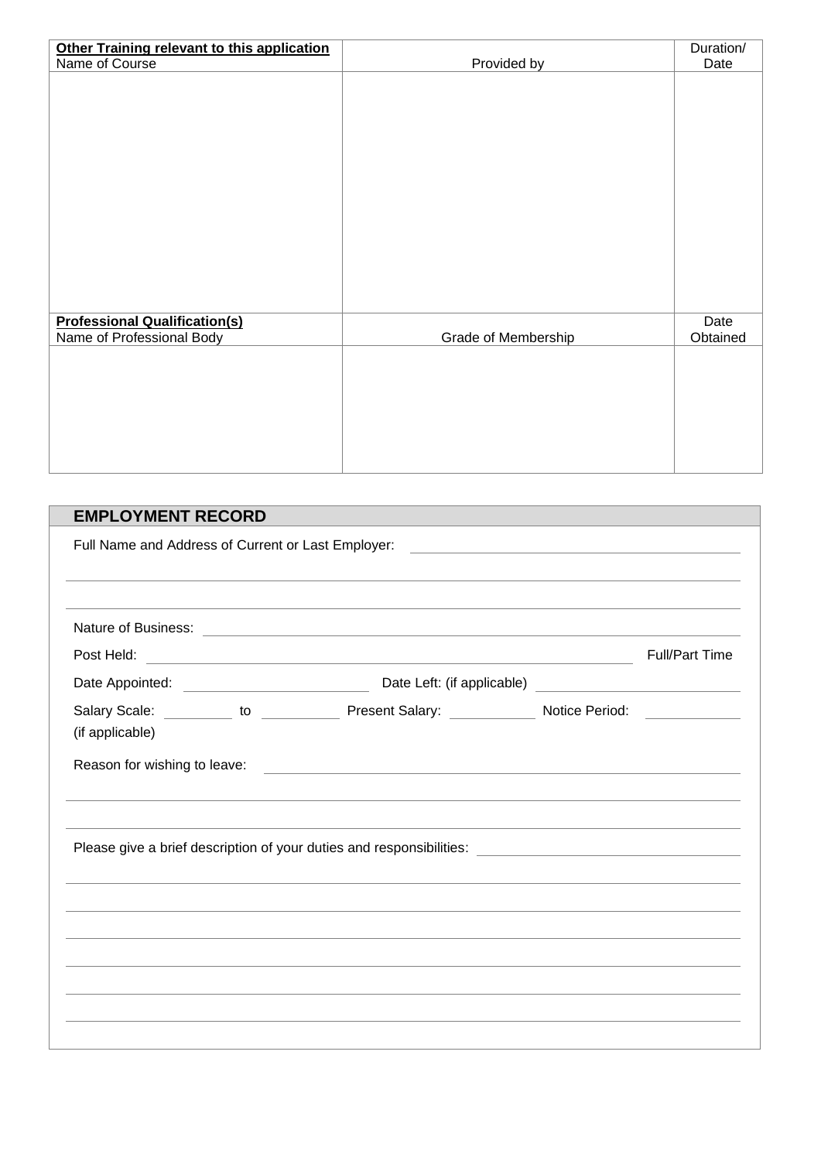| Other Training relevant to this application |                     | Duration/ |
|---------------------------------------------|---------------------|-----------|
| Name of Course                              | Provided by         | Date      |
|                                             |                     |           |
|                                             |                     |           |
|                                             |                     |           |
|                                             |                     |           |
|                                             |                     |           |
|                                             |                     |           |
|                                             |                     |           |
|                                             |                     |           |
|                                             |                     |           |
|                                             |                     |           |
|                                             |                     |           |
|                                             |                     |           |
|                                             |                     |           |
|                                             |                     |           |
|                                             |                     |           |
|                                             |                     |           |
| <b>Professional Qualification(s)</b>        |                     | Date      |
| Name of Professional Body                   | Grade of Membership | Obtained  |
|                                             |                     |           |
|                                             |                     |           |
|                                             |                     |           |
|                                             |                     |           |
|                                             |                     |           |
|                                             |                     |           |
|                                             |                     |           |
|                                             |                     |           |

| <b>EMPLOYMENT RECORD</b> |                                                                                                     |                       |
|--------------------------|-----------------------------------------------------------------------------------------------------|-----------------------|
|                          |                                                                                                     |                       |
|                          |                                                                                                     |                       |
|                          |                                                                                                     | <b>Full/Part Time</b> |
|                          |                                                                                                     |                       |
| (if applicable)          | Salary Scale: __________ to _____________ Present Salary: _____________ Notice Period: ____________ |                       |
|                          |                                                                                                     |                       |
|                          |                                                                                                     |                       |
|                          | ,我们也不会有什么。""我们的人,我们也不会有什么?""我们的人,我们也不会有什么?""我们的人,我们也不会有什么?""我们的人,我们也不会有什么?""我们的人                    |                       |
|                          |                                                                                                     |                       |
|                          |                                                                                                     |                       |
|                          |                                                                                                     |                       |
|                          |                                                                                                     |                       |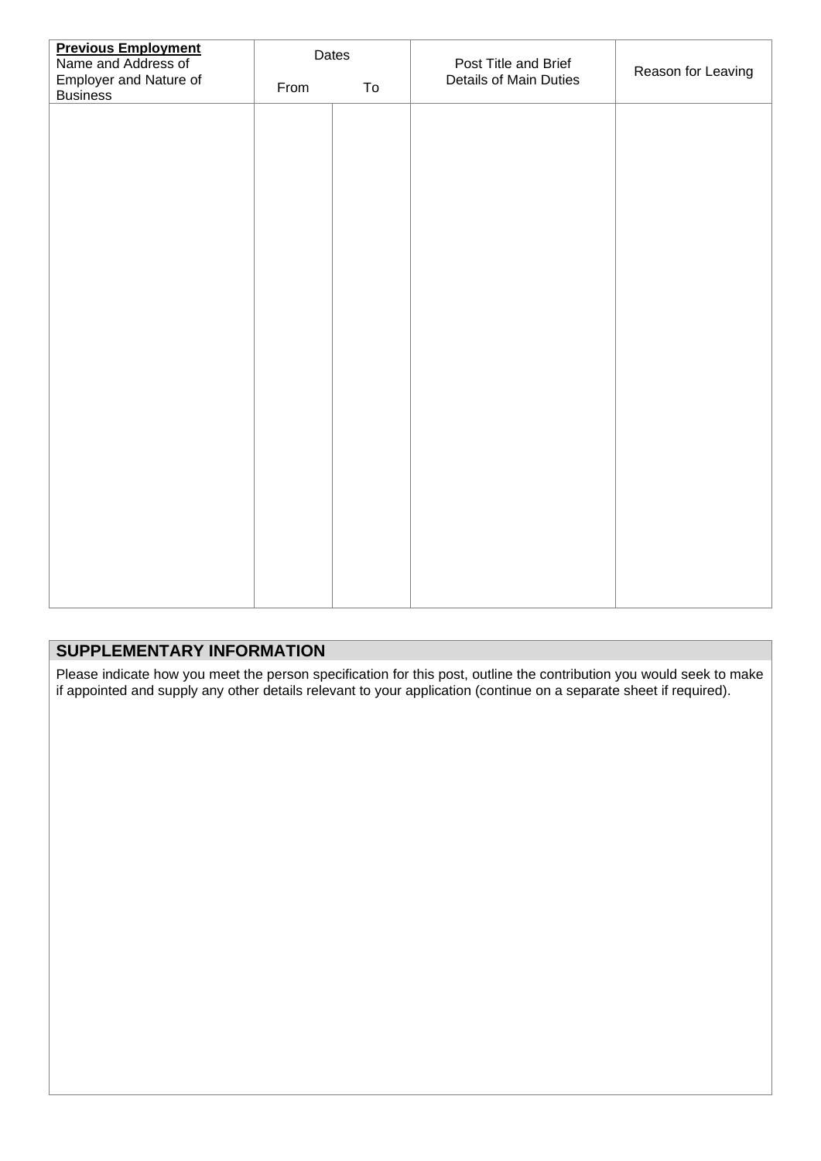| <b>Previous Employment</b><br>Name and Address of |      | Dates | Post Title and Brief   | Reason for Leaving |  |
|---------------------------------------------------|------|-------|------------------------|--------------------|--|
| Employer and Nature of<br><b>Business</b>         | From | To    | Details of Main Duties |                    |  |
|                                                   |      |       |                        |                    |  |
|                                                   |      |       |                        |                    |  |
|                                                   |      |       |                        |                    |  |
|                                                   |      |       |                        |                    |  |
|                                                   |      |       |                        |                    |  |
|                                                   |      |       |                        |                    |  |
|                                                   |      |       |                        |                    |  |
|                                                   |      |       |                        |                    |  |
|                                                   |      |       |                        |                    |  |
|                                                   |      |       |                        |                    |  |
|                                                   |      |       |                        |                    |  |
|                                                   |      |       |                        |                    |  |
|                                                   |      |       |                        |                    |  |
|                                                   |      |       |                        |                    |  |
|                                                   |      |       |                        |                    |  |
|                                                   |      |       |                        |                    |  |
|                                                   |      |       |                        |                    |  |
|                                                   |      |       |                        |                    |  |

### **SUPPLEMENTARY INFORMATION**

Please indicate how you meet the person specification for this post, outline the contribution you would seek to make if appointed and supply any other details relevant to your application (continue on a separate sheet if required).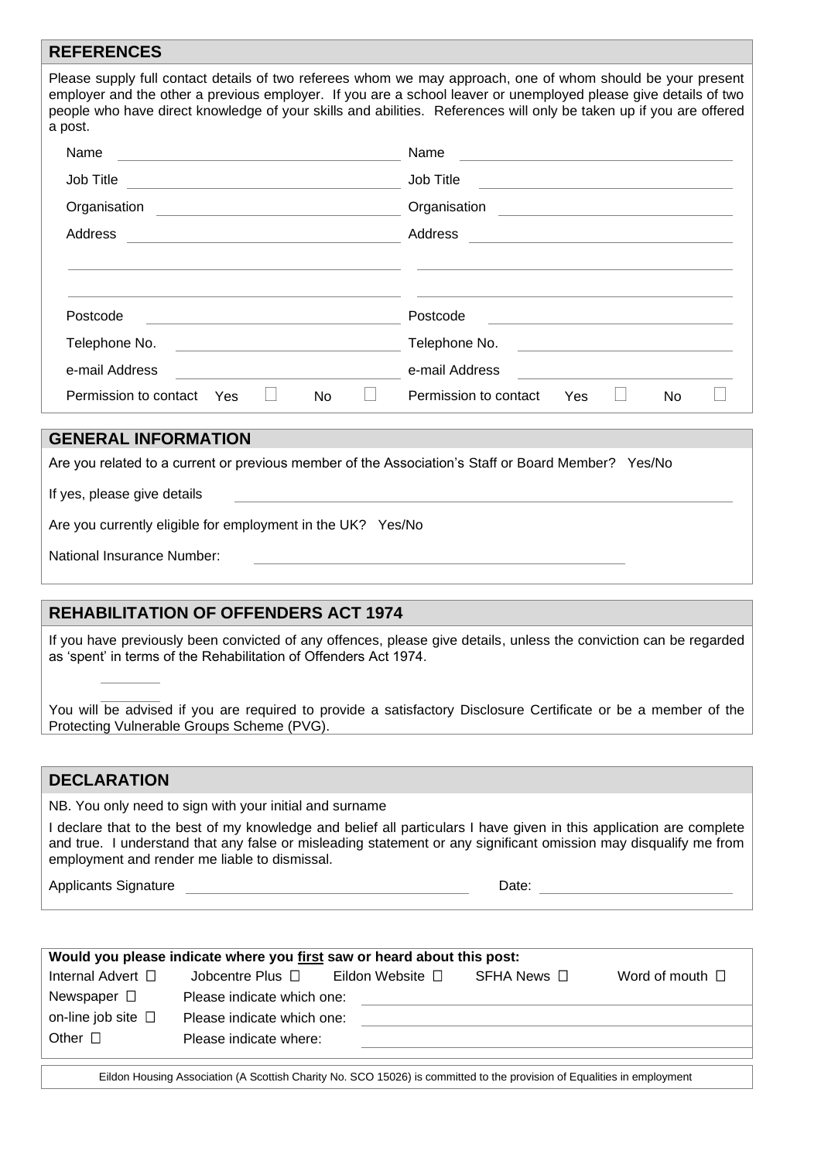#### **REFERENCES**

Please supply full contact details of two referees whom we may approach, one of whom should be your present employer and the other a previous employer. If you are a school leaver or unemployed please give details of two people who have direct knowledge of your skills and abilities. References will only be taken up if you are offered a post.

| Name                                                                                     | Name                                                                |  |  |
|------------------------------------------------------------------------------------------|---------------------------------------------------------------------|--|--|
|                                                                                          |                                                                     |  |  |
| Job Title                                                                                | Job Title                                                           |  |  |
| <u> 1980 - Andrea Andrew Maria (h. 1980).</u>                                            | <u> 1980 - Johann Stein, mars an deus Amerikaansk kommunister (</u> |  |  |
| Organisation                                                                             | Organisation                                                        |  |  |
| <u> 1989 - Andrea Andrew Maria (h. 1989).</u>                                            | <u> 1989 - Andrea Andrew Maria (h. 1989).</u>                       |  |  |
| Address                                                                                  | Address                                                             |  |  |
| <u> Alexandria de la contrada de la contrada de la contrada de la contrada de la con</u> | <u> 1980 - Andrea Station, amerikansk politik (d. 1980)</u>         |  |  |
|                                                                                          |                                                                     |  |  |
|                                                                                          |                                                                     |  |  |
| Postcode                                                                                 | Postcode                                                            |  |  |
| Telephone No.                                                                            | Telephone No.                                                       |  |  |
| <u> 1989 - Johann Barn, mars ann an t-Amhair ann an t-A</u>                              | <u> 1980 - Andrea State Barbara, amerikan per</u>                   |  |  |
| e-mail Address                                                                           | e-mail Address                                                      |  |  |
| Permission to contact                                                                    | Permission to contact                                               |  |  |
| No                                                                                       | Yes                                                                 |  |  |
| Yes                                                                                      | No                                                                  |  |  |

#### **GENERAL INFORMATION**

| Are you related to a current or previous member of the Association's Staff or Board Member? Yes/No |  |  |  |  |
|----------------------------------------------------------------------------------------------------|--|--|--|--|
|                                                                                                    |  |  |  |  |

If yes, please give details

Are you currently eligible for employment in the UK? Yes/No

| National Insurance Number: |
|----------------------------|
|----------------------------|

#### **REHABILITATION OF OFFENDERS ACT 1974**

If you have previously been convicted of any offences, please give details, unless the conviction can be regarded as 'spent' in terms of the Rehabilitation of Offenders Act 1974.

You will be advised if you are required to provide a satisfactory Disclosure Certificate or be a member of the Protecting Vulnerable Groups Scheme (PVG).

### **DECLARATION**

NB. You only need to sign with your initial and surname

I declare that to the best of my knowledge and belief all particulars I have given in this application are complete and true. I understand that any false or misleading statement or any significant omission may disqualify me from employment and render me liable to dismissal.

Applicants Signature **Date: Date: Date: Date: Date: Date: Date: Date: Date: Date: Date: Date: Date: Date: Date: Date: Date: Date: Date: Date: Date: Date: Date: Date: Date:**

| Would you please indicate where you first saw or heard about this post: |                            |                                              |  |                      |  |
|-------------------------------------------------------------------------|----------------------------|----------------------------------------------|--|----------------------|--|
| Internal Advert □                                                       | Jobcentre Plus $\Box$      | Eildon Website $\square$ SFHA News $\square$ |  | Word of mouth $\Box$ |  |
| Newspaper $\square$                                                     | Please indicate which one: |                                              |  |                      |  |
| on-line job site $\Box$                                                 | Please indicate which one: |                                              |  |                      |  |
| Other $\Box$                                                            | Please indicate where:     |                                              |  |                      |  |
|                                                                         |                            |                                              |  |                      |  |

Eildon Housing Association (A Scottish Charity No. SCO 15026) is committed to the provision of Equalities in employment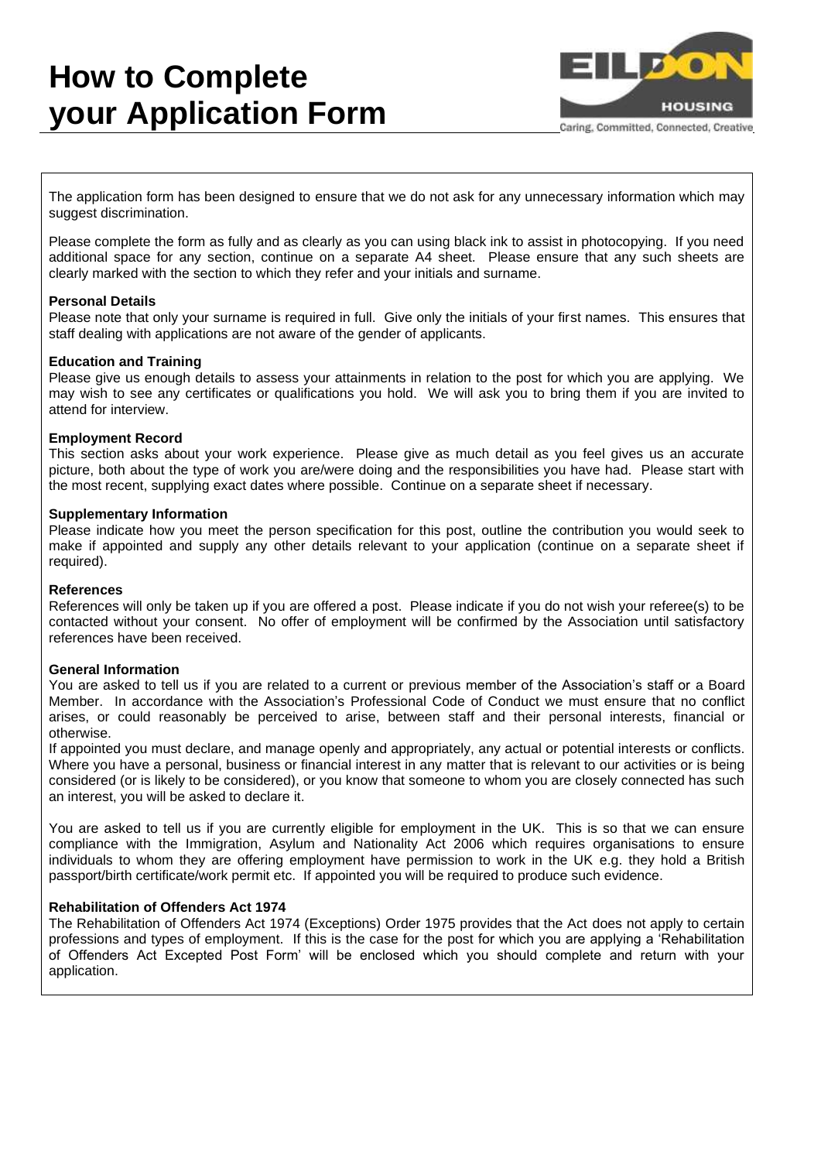## **How to Complete your Application Form**



Caring, Committed, Connected, Creative

The application form has been designed to ensure that we do not ask for any unnecessary information which may suggest discrimination.

Please complete the form as fully and as clearly as you can using black ink to assist in photocopying. If you need additional space for any section, continue on a separate A4 sheet. Please ensure that any such sheets are clearly marked with the section to which they refer and your initials and surname.

#### **Personal Details**

Please note that only your surname is required in full. Give only the initials of your first names. This ensures that staff dealing with applications are not aware of the gender of applicants.

#### **Education and Training**

Please give us enough details to assess your attainments in relation to the post for which you are applying. We may wish to see any certificates or qualifications you hold. We will ask you to bring them if you are invited to attend for interview.

#### **Employment Record**

This section asks about your work experience. Please give as much detail as you feel gives us an accurate picture, both about the type of work you are/were doing and the responsibilities you have had. Please start with the most recent, supplying exact dates where possible. Continue on a separate sheet if necessary.

#### **Supplementary Information**

Please indicate how you meet the person specification for this post, outline the contribution you would seek to make if appointed and supply any other details relevant to your application (continue on a separate sheet if required).

#### **References**

References will only be taken up if you are offered a post. Please indicate if you do not wish your referee(s) to be contacted without your consent. No offer of employment will be confirmed by the Association until satisfactory references have been received.

#### **General Information**

You are asked to tell us if you are related to a current or previous member of the Association's staff or a Board Member. In accordance with the Association's Professional Code of Conduct we must ensure that no conflict arises, or could reasonably be perceived to arise, between staff and their personal interests, financial or otherwise.

If appointed you must declare, and manage openly and appropriately, any actual or potential interests or conflicts. Where you have a personal, business or financial interest in any matter that is relevant to our activities or is being considered (or is likely to be considered), or you know that someone to whom you are closely connected has such an interest, you will be asked to declare it.

You are asked to tell us if you are currently eligible for employment in the UK. This is so that we can ensure compliance with the Immigration, Asylum and Nationality Act 2006 which requires organisations to ensure individuals to whom they are offering employment have permission to work in the UK e.g. they hold a British passport/birth certificate/work permit etc. If appointed you will be required to produce such evidence.

#### **Rehabilitation of Offenders Act 1974**

The Rehabilitation of Offenders Act 1974 (Exceptions) Order 1975 provides that the Act does not apply to certain professions and types of employment. If this is the case for the post for which you are applying a 'Rehabilitation of Offenders Act Excepted Post Form' will be enclosed which you should complete and return with your application.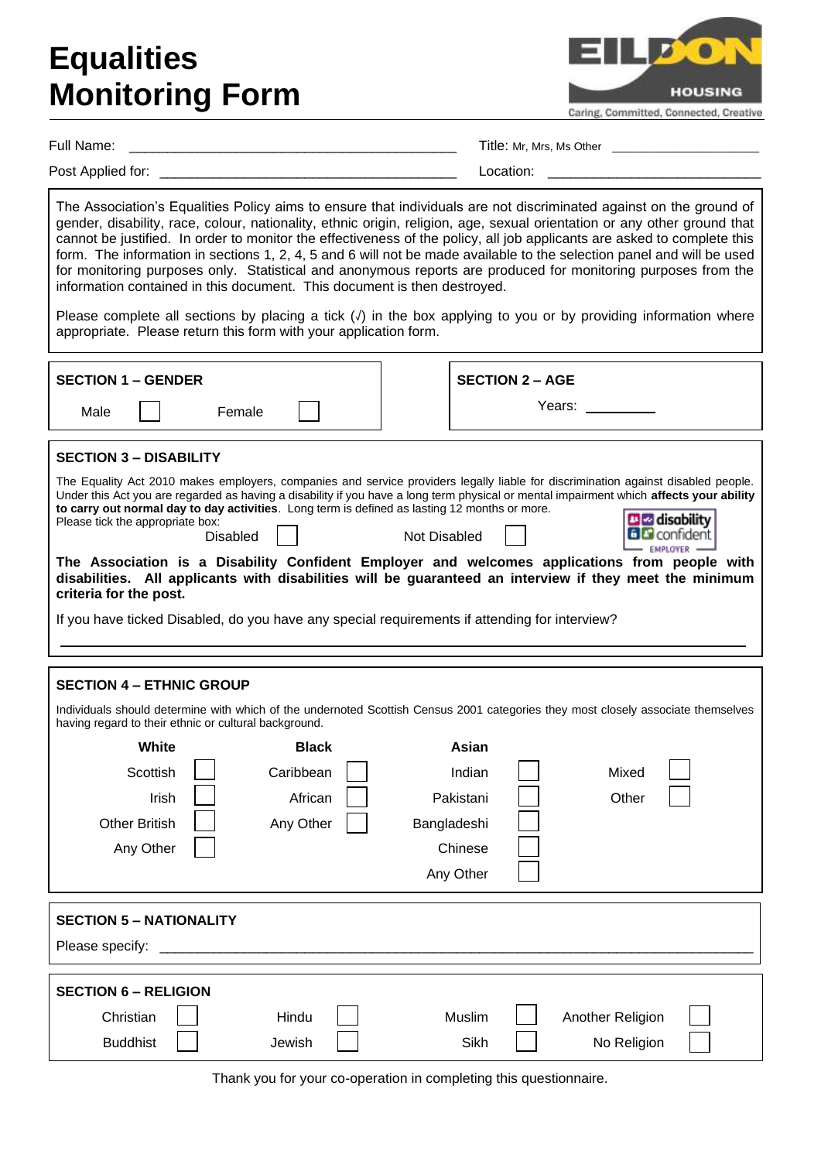## **Equalities Monitoring Form**

**HOUSING** Caring, Committed, Connected, Creative

Full Name:  $\Box$  Title: Mr, Mrs, Ms Other  $\Box$ 

Post Applied for: \_\_\_\_\_\_\_\_\_\_\_\_\_\_\_\_\_\_\_\_\_\_\_\_\_\_\_\_\_\_\_\_\_\_\_\_\_\_\_ Location: \_\_\_\_\_\_\_\_\_\_\_\_\_\_\_\_\_\_\_\_\_\_\_\_\_\_\_\_

The Association's Equalities Policy aims to ensure that individuals are not discriminated against on the ground of gender, disability, race, colour, nationality, ethnic origin, religion, age, sexual orientation or any other ground that cannot be justified. In order to monitor the effectiveness of the policy, all job applicants are asked to complete this form. The information in sections 1, 2, 4, 5 and 6 will not be made available to the selection panel and will be used for monitoring purposes only. Statistical and anonymous reports are produced for monitoring purposes from the information contained in this document. This document is then destroyed.

Please complete all sections by placing a tick (√) in the box applying to you or by providing information where appropriate. Please return this form with your application form.

| <b>SECTION 1 – GENDER</b><br>Female<br>Male                                                                                                                                                                                                                                                                                                                                                                                                                                                                                                                                                                                                                                                                                                                                                                                                                                          | <b>SECTION 2 - AGE</b><br>Years: __________                                                                                                                                                                               |  |  |  |
|--------------------------------------------------------------------------------------------------------------------------------------------------------------------------------------------------------------------------------------------------------------------------------------------------------------------------------------------------------------------------------------------------------------------------------------------------------------------------------------------------------------------------------------------------------------------------------------------------------------------------------------------------------------------------------------------------------------------------------------------------------------------------------------------------------------------------------------------------------------------------------------|---------------------------------------------------------------------------------------------------------------------------------------------------------------------------------------------------------------------------|--|--|--|
| <b>SECTION 3 - DISABILITY</b><br>The Equality Act 2010 makes employers, companies and service providers legally liable for discrimination against disabled people.<br>Under this Act you are regarded as having a disability if you have a long term physical or mental impairment which affects your ability<br>to carry out normal day to day activities. Long term is defined as lasting 12 months or more.<br><b>Diz</b> disability<br>Please tick the appropriate box:<br><b>6 B</b> confident<br><b>Disabled</b><br><b>Not Disabled</b><br>The Association is a Disability Confident Employer and welcomes applications from people with<br>disabilities. All applicants with disabilities will be guaranteed an interview if they meet the minimum<br>criteria for the post.<br>If you have ticked Disabled, do you have any special requirements if attending for interview? |                                                                                                                                                                                                                           |  |  |  |
| <b>SECTION 4 - ETHNIC GROUP</b><br>having regard to their ethnic or cultural background.<br>White<br><b>Black</b><br>Caribbean<br>Scottish<br><b>Irish</b><br>African<br><b>Other British</b><br>Any Other<br>Any Other                                                                                                                                                                                                                                                                                                                                                                                                                                                                                                                                                                                                                                                              | Individuals should determine with which of the undernoted Scottish Census 2001 categories they most closely associate themselves<br>Asian<br>Indian<br>Mixed<br>Pakistani<br>Other<br>Bangladeshi<br>Chinese<br>Any Other |  |  |  |
| <b>SECTION 5 – NATIONALITY</b><br>Please specify:                                                                                                                                                                                                                                                                                                                                                                                                                                                                                                                                                                                                                                                                                                                                                                                                                                    |                                                                                                                                                                                                                           |  |  |  |
| <b>SECTION 6 - RELIGION</b><br>Christian<br>Hindu<br><b>Buddhist</b><br>Jewish                                                                                                                                                                                                                                                                                                                                                                                                                                                                                                                                                                                                                                                                                                                                                                                                       | Muslim<br>Another Religion<br>Sikh<br>No Religion                                                                                                                                                                         |  |  |  |

Thank you for your co-operation in completing this questionnaire.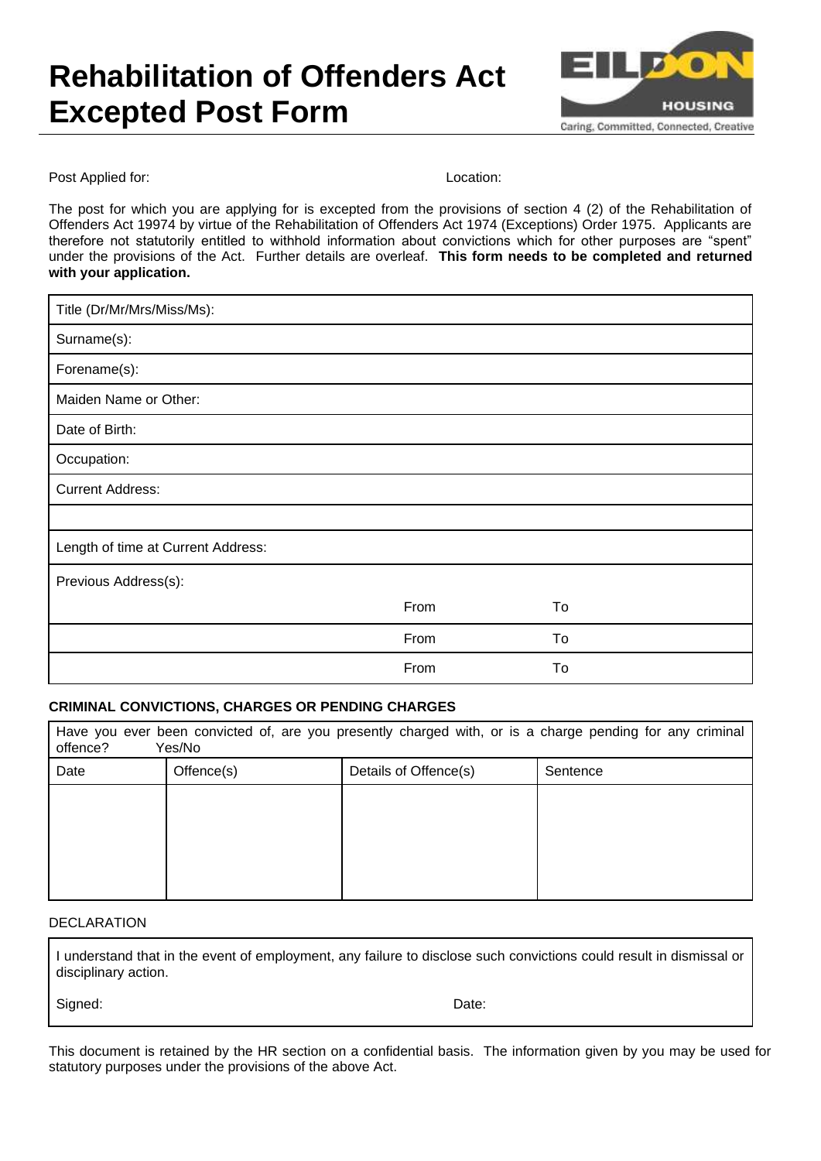## **Rehabilitation of Offenders Act Excepted Post Form**



Post Applied for: **Location:** Location:

The post for which you are applying for is excepted from the provisions of section 4 (2) of the Rehabilitation of Offenders Act 19974 by virtue of the Rehabilitation of Offenders Act 1974 (Exceptions) Order 1975. Applicants are therefore not statutorily entitled to withhold information about convictions which for other purposes are "spent" under the provisions of the Act. Further details are overleaf. **This form needs to be completed and returned with your application.**

| Title (Dr/Mr/Mrs/Miss/Ms):         |      |    |
|------------------------------------|------|----|
| Surname(s):                        |      |    |
| Forename(s):                       |      |    |
| Maiden Name or Other:              |      |    |
| Date of Birth:                     |      |    |
| Occupation:                        |      |    |
| <b>Current Address:</b>            |      |    |
|                                    |      |    |
| Length of time at Current Address: |      |    |
| Previous Address(s):               |      |    |
|                                    | From | To |
|                                    | From | To |
|                                    | From | To |

### **CRIMINAL CONVICTIONS, CHARGES OR PENDING CHARGES**

| Have you ever been convicted of, are you presently charged with, or is a charge pending for any criminal<br>Yes/No<br>offence? |            |                       |          |  |
|--------------------------------------------------------------------------------------------------------------------------------|------------|-----------------------|----------|--|
| Date                                                                                                                           | Offence(s) | Details of Offence(s) | Sentence |  |
|                                                                                                                                |            |                       |          |  |
|                                                                                                                                |            |                       |          |  |
|                                                                                                                                |            |                       |          |  |
|                                                                                                                                |            |                       |          |  |

#### DECLARATION

I understand that in the event of employment, any failure to disclose such convictions could result in dismissal or disciplinary action.

Signed: Date:

This document is retained by the HR section on a confidential basis. The information given by you may be used for statutory purposes under the provisions of the above Act.